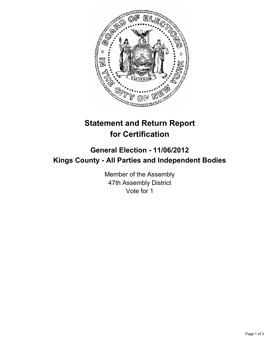

# **Statement and Return Report for Certification**

## **General Election - 11/06/2012 Kings County - All Parties and Independent Bodies**

Member of the Assembly 47th Assembly District Vote for 1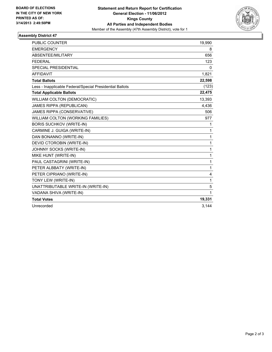

### **Assembly District 47**

| <b>PUBLIC COUNTER</b>                                    | 19,990       |
|----------------------------------------------------------|--------------|
| <b>EMERGENCY</b>                                         | 8            |
| ABSENTEE/MILITARY                                        | 656          |
| <b>FEDERAL</b>                                           | 123          |
| <b>SPECIAL PRESIDENTIAL</b>                              | 0            |
| <b>AFFIDAVIT</b>                                         | 1,821        |
| <b>Total Ballots</b>                                     | 22,598       |
| Less - Inapplicable Federal/Special Presidential Ballots | (123)        |
| <b>Total Applicable Ballots</b>                          | 22,475       |
| WILLIAM COLTON (DEMOCRATIC)                              | 13,393       |
| <b>JAMES RIPPA (REPUBLICAN)</b>                          | 4,436        |
| JAMES RIPPA (CONSERVATIVE)                               | 506          |
| WILLIAM COLTON (WORKING FAMILIES)                        | 977          |
| <b>BORIS SUCHKOV (WRITE-IN)</b>                          | 1            |
| CARMINE J. GUIGA (WRITE-IN)                              | 1            |
| DAN BONANNO (WRITE-IN)                                   | 1            |
| DEVID CTOROBIN (WRITE-IN)                                | $\mathbf{1}$ |
| JOHNNY SOCKS (WRITE-IN)                                  | 1            |
| MIKE HUNT (WRITE-IN)                                     | $\mathbf{1}$ |
| PAUL CASTAGRINI (WRITE-IN)                               | $\mathbf{1}$ |
| PETER ALBBATY (WRITE-IN)                                 | 1            |
| PETER CIPRIANO (WRITE-IN)                                | 4            |
| TONY LEW (WRITE-IN)                                      | 1            |
| UNATTRIBUTABLE WRITE-IN (WRITE-IN)                       | 5            |
| VADANA SHIVA (WRITE-IN)                                  | $\mathbf{1}$ |
| <b>Total Votes</b>                                       | 19,331       |
| Unrecorded                                               | 3,144        |